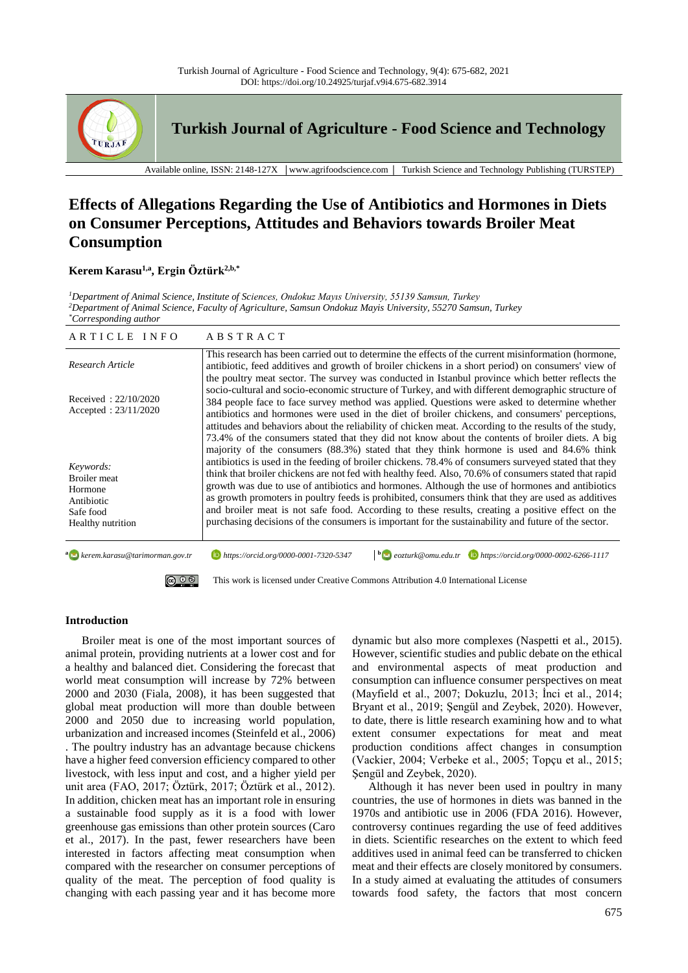

**Turkish Journal of Agriculture - Food Science and Technology**

Available online, ISSN: 2148-127X │www.agrifoodscience.com │ Turkish Science and Technology Publishing (TURSTEP)

# **Effects of Allegations Regarding the Use of Antibiotics and Hormones in Diets on Consumer Perceptions, Attitudes and Behaviors towards Broiler Meat Consumption**

## **Kerem Karasu1,a , Ergin Öztürk2,b,\***

*<sup>1</sup>Department of Animal Science, Institute of Sciences, Ondokuz Mayıs University, 55139 Samsun, Turkey <sup>2</sup>Department of Animal Science, Faculty of Agriculture, Samsun Ondokuz Mayis University, 55270 Samsun, Turkey \*Corresponding author*

| ARTICLE INFO                                                                                | ABSTRACT                                                                                                                                                                                                                                                                                                                                                                                                                                                                                                                                                                                                                                                                                                                       |
|---------------------------------------------------------------------------------------------|--------------------------------------------------------------------------------------------------------------------------------------------------------------------------------------------------------------------------------------------------------------------------------------------------------------------------------------------------------------------------------------------------------------------------------------------------------------------------------------------------------------------------------------------------------------------------------------------------------------------------------------------------------------------------------------------------------------------------------|
| Research Article                                                                            | This research has been carried out to determine the effects of the current misinformation (hormone,<br>antibiotic, feed additives and growth of broiler chickens in a short period) on consumers' view of<br>the poultry meat sector. The survey was conducted in Istanbul province which better reflects the                                                                                                                                                                                                                                                                                                                                                                                                                  |
| Received: $22/10/2020$<br>Accepted: $23/11/2020$                                            | socio-cultural and socio-economic structure of Turkey, and with different demographic structure of<br>384 people face to face survey method was applied. Questions were asked to determine whether<br>antibiotics and hormones were used in the diet of broiler chickens, and consumers' perceptions,<br>attitudes and behaviors about the reliability of chicken meat. According to the results of the study,<br>73.4% of the consumers stated that they did not know about the contents of broiler diets. A big                                                                                                                                                                                                              |
| Keywords:<br><b>Broiler</b> meat<br>Hormone<br>Antibiotic<br>Safe food<br>Healthy nutrition | majority of the consumers (88.3%) stated that they think hormone is used and 84.6% think<br>antibiotics is used in the feeding of broiler chickens. 78.4% of consumers surveyed stated that they<br>think that broiler chickens are not fed with healthy feed. Also, 70.6% of consumers stated that rapid<br>growth was due to use of antibiotics and hormones. Although the use of hormones and antibiotics<br>as growth promoters in poultry feeds is prohibited, consumers think that they are used as additives<br>and broiler meat is not safe food. According to these results, creating a positive effect on the<br>purchasing decisions of the consumers is important for the sustainability and future of the sector. |
| <sup>a</sup> erem.karasu@tarimorman.gov.tr                                                  | $\bullet$ eozturk@omu.edu.tr $\bullet$ https://orcid.org/0000-0002-6266-1117<br>https://orcid.org/0000-0001-7320-5347                                                                                                                                                                                                                                                                                                                                                                                                                                                                                                                                                                                                          |
| $\circledcirc$ $\circledcirc$                                                               | This work is licensed under Creative Commons Attribution 4.0 International License                                                                                                                                                                                                                                                                                                                                                                                                                                                                                                                                                                                                                                             |

#### **Introduction**

Broiler meat is one of the most important sources of animal protein, providing nutrients at a lower cost and for a healthy and balanced diet. Considering the forecast that world meat consumption will increase by 72% between 2000 and 2030 (Fiala, 2008), it has been suggested that global meat production will more than double between 2000 and 2050 due to increasing world population, urbanization and increased incomes (Steinfeld et al., 2006) . The poultry industry has an advantage because chickens have a higher feed conversion efficiency compared to other livestock, with less input and cost, and a higher yield per unit area (FAO, 2017; Öztürk, 2017; Öztürk et al., 2012). In addition, chicken meat has an important role in ensuring a sustainable food supply as it is a food with lower greenhouse gas emissions than other protein sources (Caro et al., 2017). In the past, fewer researchers have been interested in factors affecting meat consumption when compared with the researcher on consumer perceptions of quality of the meat. The perception of food quality is changing with each passing year and it has become more

dynamic but also more complexes (Naspetti et al., 2015). However, scientific studies and public debate on the ethical and environmental aspects of meat production and consumption can influence consumer perspectives on meat (Mayfield et al., 2007; Dokuzlu, 2013; İnci et al., 2014; Bryant et al., 2019; Şengül and Zeybek, 2020). However, to date, there is little research examining how and to what extent consumer expectations for meat and meat production conditions affect changes in consumption (Vackier, 2004; Verbeke et al., 2005; Topçu et al., 2015; Şengül and Zeybek, 2020).

Although it has never been used in poultry in many countries, the use of hormones in diets was banned in the 1970s and antibiotic use in 2006 (FDA 2016). However, controversy continues regarding the use of feed additives in diets. Scientific researches on the extent to which feed additives used in animal feed can be transferred to chicken meat and their effects are closely monitored by consumers. In a study aimed at evaluating the attitudes of consumers towards food safety, the factors that most concern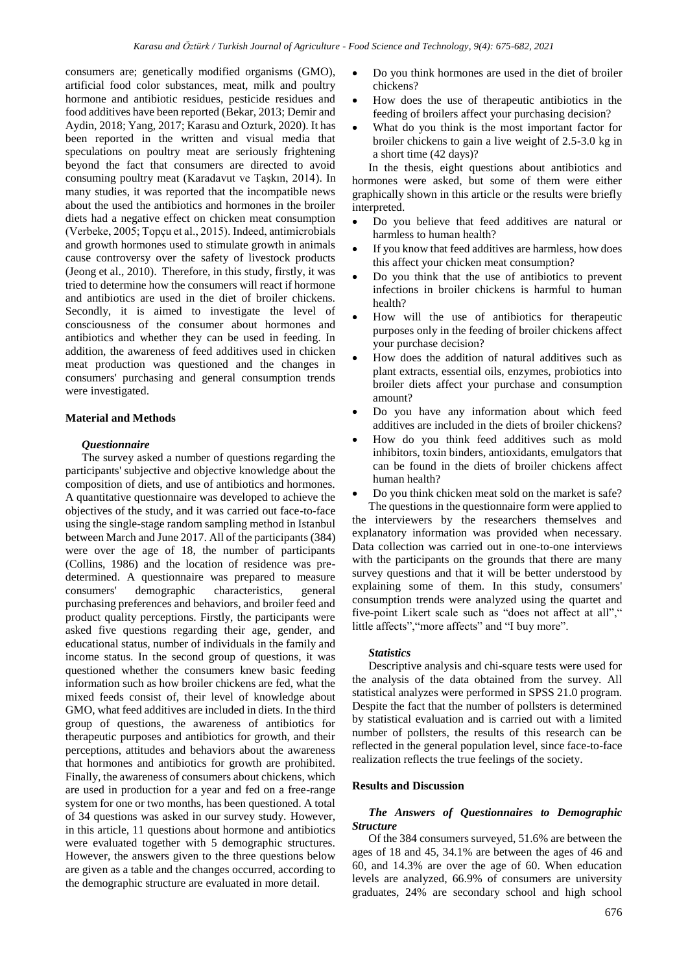consumers are; genetically modified organisms (GMO), artificial food color substances, meat, milk and poultry hormone and antibiotic residues, pesticide residues and food additives have been reported (Bekar, 2013; Demir and Aydin, 2018; Yang, 2017; Karasu and Ozturk, 2020). It has been reported in the written and visual media that speculations on poultry meat are seriously frightening beyond the fact that consumers are directed to avoid consuming poultry meat (Karadavut ve Taşkın, 2014). In many studies, it was reported that the incompatible news about the used the antibiotics and hormones in the broiler diets had a negative effect on chicken meat consumption (Verbeke, 2005; Topçu et al., 2015). Indeed, antimicrobials and growth hormones used to stimulate growth in animals cause controversy over the safety of livestock products (Jeong et al., 2010). Therefore, in this study, firstly, it was tried to determine how the consumers will react if hormone and antibiotics are used in the diet of broiler chickens. Secondly, it is aimed to investigate the level of consciousness of the consumer about hormones and antibiotics and whether they can be used in feeding. In addition, the awareness of feed additives used in chicken meat production was questioned and the changes in consumers' purchasing and general consumption trends were investigated.

#### **Material and Methods**

### *Questionnaire*

The survey asked a number of questions regarding the participants' subjective and objective knowledge about the composition of diets, and use of antibiotics and hormones. A quantitative questionnaire was developed to achieve the objectives of the study, and it was carried out face-to-face using the single-stage random sampling method in Istanbul between March and June 2017. All of the participants (384) were over the age of 18, the number of participants (Collins, 1986) and the location of residence was predetermined. A questionnaire was prepared to measure consumers' demographic characteristics, general purchasing preferences and behaviors, and broiler feed and product quality perceptions. Firstly, the participants were asked five questions regarding their age, gender, and educational status, number of individuals in the family and income status. In the second group of questions, it was questioned whether the consumers knew basic feeding information such as how broiler chickens are fed, what the mixed feeds consist of, their level of knowledge about GMO, what feed additives are included in diets. In the third group of questions, the awareness of antibiotics for therapeutic purposes and antibiotics for growth, and their perceptions, attitudes and behaviors about the awareness that hormones and antibiotics for growth are prohibited. Finally, the awareness of consumers about chickens, which are used in production for a year and fed on a free-range system for one or two months, has been questioned. A total of 34 questions was asked in our survey study. However, in this article, 11 questions about hormone and antibiotics were evaluated together with 5 demographic structures. However, the answers given to the three questions below are given as a table and the changes occurred, according to the demographic structure are evaluated in more detail.

- Do you think hormones are used in the diet of broiler chickens?
- How does the use of therapeutic antibiotics in the feeding of broilers affect your purchasing decision?
- What do you think is the most important factor for broiler chickens to gain a live weight of 2.5-3.0 kg in a short time (42 days)?

In the thesis, eight questions about antibiotics and hormones were asked, but some of them were either graphically shown in this article or the results were briefly interpreted.

- Do you believe that feed additives are natural or harmless to human health?
- If you know that feed additives are harmless, how does this affect your chicken meat consumption?
- Do you think that the use of antibiotics to prevent infections in broiler chickens is harmful to human health?
- How will the use of antibiotics for therapeutic purposes only in the feeding of broiler chickens affect your purchase decision?
- How does the addition of natural additives such as plant extracts, essential oils, enzymes, probiotics into broiler diets affect your purchase and consumption amount?
- Do you have any information about which feed additives are included in the diets of broiler chickens?
- How do you think feed additives such as mold inhibitors, toxin binders, antioxidants, emulgators that can be found in the diets of broiler chickens affect human health?
- Do you think chicken meat sold on the market is safe?

The questions in the questionnaire form were applied to the interviewers by the researchers themselves and explanatory information was provided when necessary. Data collection was carried out in one-to-one interviews with the participants on the grounds that there are many survey questions and that it will be better understood by explaining some of them. In this study, consumers' consumption trends were analyzed using the quartet and five-point Likert scale such as "does not affect at all"," little affects","more affects" and "I buy more".

## *Statistics*

Descriptive analysis and chi-square tests were used for the analysis of the data obtained from the survey. All statistical analyzes were performed in SPSS 21.0 program. Despite the fact that the number of pollsters is determined by statistical evaluation and is carried out with a limited number of pollsters, the results of this research can be reflected in the general population level, since face-to-face realization reflects the true feelings of the society.

#### **Results and Discussion**

## *The Answers of Questionnaires to Demographic Structure*

Of the 384 consumers surveyed, 51.6% are between the ages of 18 and 45, 34.1% are between the ages of 46 and 60, and 14.3% are over the age of 60. When education levels are analyzed, 66.9% of consumers are university graduates, 24% are secondary school and high school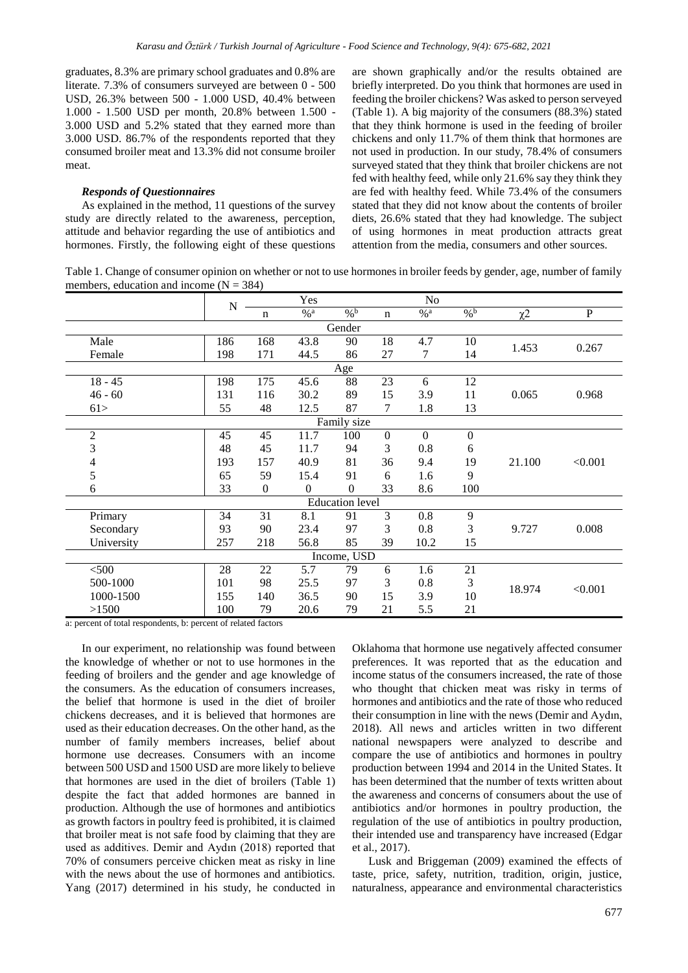graduates, 8.3% are primary school graduates and 0.8% are literate. 7.3% of consumers surveyed are between 0 - 500 USD, 26.3% between 500 - 1.000 USD, 40.4% between 1.000 - 1.500 USD per month, 20.8% between 1.500 - 3.000 USD and 5.2% stated that they earned more than 3.000 USD. 86.7% of the respondents reported that they consumed broiler meat and 13.3% did not consume broiler meat.

## *Responds of Questionnaires*

As explained in the method, 11 questions of the survey study are directly related to the awareness, perception, attitude and behavior regarding the use of antibiotics and hormones. Firstly, the following eight of these questions

are shown graphically and/or the results obtained are briefly interpreted. Do you think that hormones are used in feeding the broiler chickens? Was asked to person serveyed (Table 1). A big majority of the consumers (88.3%) stated that they think hormone is used in the feeding of broiler chickens and only 11.7% of them think that hormones are not used in production. In our study, 78.4% of consumers surveyed stated that they think that broiler chickens are not fed with healthy feed, while only 21.6% say they think they are fed with healthy feed. While 73.4% of the consumers stated that they did not know about the contents of broiler diets, 26.6% stated that they had knowledge. The subject of using hormones in meat production attracts great attention from the media, consumers and other sources.

Table 1. Change of consumer opinion on whether or not to use hormones in broiler feeds by gender, age, number of family members, education and income  $(N = 384)$ 

|                  | ${\bf N}$ |                | Yes               |                        |             | N <sub>o</sub>    |                  |          |           |  |  |
|------------------|-----------|----------------|-------------------|------------------------|-------------|-------------------|------------------|----------|-----------|--|--|
|                  |           | n              | $\%$ <sup>a</sup> | $\frac{9}{6}$          | $\mathbf n$ | $\%$ <sup>a</sup> | $\frac{6}{6}$    | $\chi^2$ | ${\bf P}$ |  |  |
| Gender           |           |                |                   |                        |             |                   |                  |          |           |  |  |
| Male             | 186       | 168            | 43.8              | 90                     | 18          | 4.7               | 10               | 1.453    | 0.267     |  |  |
| Female           | 198       | 171            | 44.5              | 86                     | 27          | 7                 | 14               |          |           |  |  |
| Age              |           |                |                   |                        |             |                   |                  |          |           |  |  |
| $18 - 45$        | 198       | 175            | 45.6              | $\overline{88}$        | 23          | 6                 | 12               |          |           |  |  |
| $46 - 60$        | 131       | 116            | 30.2              | 89                     | 15          | 3.9               | 11               | 0.065    | 0.968     |  |  |
| 61>              | 55        | 48             | 12.5              | 87                     | 7           | 1.8               | 13               |          |           |  |  |
| Family size      |           |                |                   |                        |             |                   |                  |          |           |  |  |
| $\boldsymbol{2}$ | 45        | 45             | 11.7              | 100                    | $\Omega$    | $\Omega$          | $\boldsymbol{0}$ |          |           |  |  |
| 3                | 48        | 45             | 11.7              | 94                     | 3           | 0.8               | 6                |          | < 0.001   |  |  |
| 4                | 193       | 157            | 40.9              | 81                     | 36          | 9.4               | 19               | 21.100   |           |  |  |
| 5                | 65        | 59             | 15.4              | 91                     | 6           | 1.6               | 9                |          |           |  |  |
| 6                | 33        | $\overline{0}$ | $\Omega$          | $\mathbf{0}$           | 33          | 8.6               | 100              |          |           |  |  |
|                  |           |                |                   | <b>Education</b> level |             |                   |                  |          |           |  |  |
| Primary          | 34        | 31             | 8.1               | 91                     | 3           | 0.8               | 9                |          |           |  |  |
| Secondary        | 93        | 90             | 23.4              | 97                     | 3           | 0.8               | 3                | 9.727    | 0.008     |  |  |
| University       | 257       | 218            | 56.8              | 85                     | 39          | 10.2              | 15               |          |           |  |  |
| Income, USD      |           |                |                   |                        |             |                   |                  |          |           |  |  |
| < 500            | 28        | $22\,$         | 5.7               | 79                     | 6           | 1.6               | 21               |          |           |  |  |
| 500-1000         | 101       | 98             | 25.5              | 97                     | 3           | 0.8               | 3                |          | < 0.001   |  |  |
| 1000-1500        | 155       | 140            | 36.5              | 90                     | 15          | 3.9               | 10               | 18.974   |           |  |  |
| >1500            | 100       | 79             | 20.6              | 79                     | 21          | 5.5               | 21               |          |           |  |  |

a: percent of total respondents, b: percent of related factors

In our experiment, no relationship was found between the knowledge of whether or not to use hormones in the feeding of broilers and the gender and age knowledge of the consumers. As the education of consumers increases, the belief that hormone is used in the diet of broiler chickens decreases, and it is believed that hormones are used as their education decreases. On the other hand, as the number of family members increases, belief about hormone use decreases. Consumers with an income between 500 USD and 1500 USD are more likely to believe that hormones are used in the diet of broilers (Table 1) despite the fact that added hormones are banned in production. Although the use of hormones and antibiotics as growth factors in poultry feed is prohibited, it is claimed that broiler meat is not safe food by claiming that they are used as additives. Demir and Aydın (2018) reported that 70% of consumers perceive chicken meat as risky in line with the news about the use of hormones and antibiotics. Yang (2017) determined in his study, he conducted in Oklahoma that hormone use negatively affected consumer preferences. It was reported that as the education and income status of the consumers increased, the rate of those who thought that chicken meat was risky in terms of hormones and antibiotics and the rate of those who reduced their consumption in line with the news (Demir and Aydın, 2018). All news and articles written in two different national newspapers were analyzed to describe and compare the use of antibiotics and hormones in poultry production between 1994 and 2014 in the United States. It has been determined that the number of texts written about the awareness and concerns of consumers about the use of antibiotics and/or hormones in poultry production, the regulation of the use of antibiotics in poultry production, their intended use and transparency have increased (Edgar et al., 2017).

Lusk and Briggeman (2009) examined the effects of taste, price, safety, nutrition, tradition, origin, justice, naturalness, appearance and environmental characteristics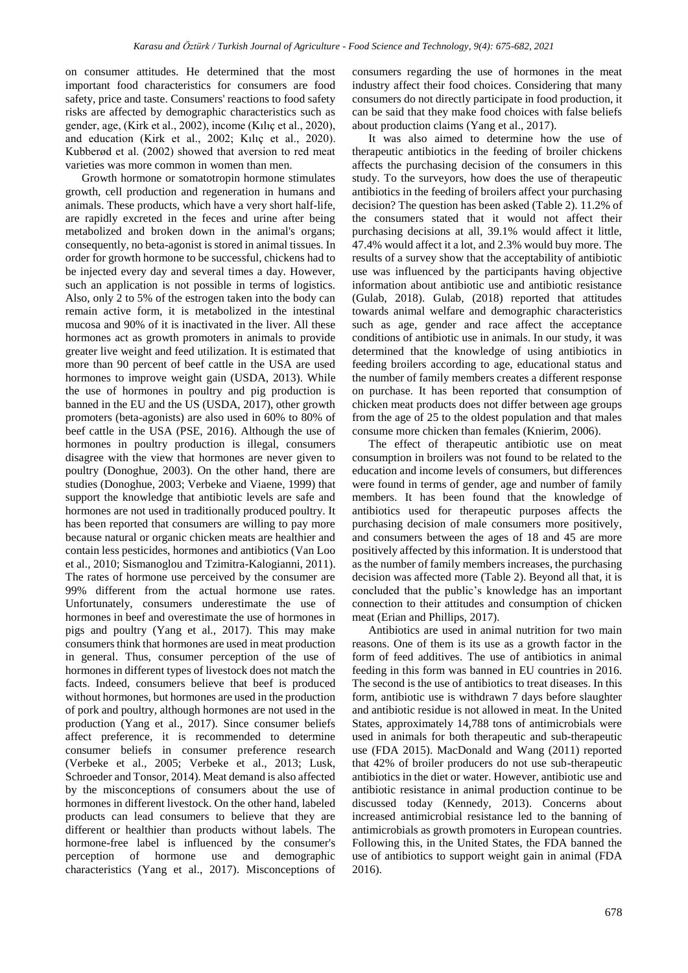on consumer attitudes. He determined that the most important food characteristics for consumers are food safety, price and taste. Consumers' reactions to food safety risks are affected by demographic characteristics such as gender, age, (Kirk et al., 2002), income (Kılıç et al., 2020), and education (Kirk et al., 2002; Kılıç et al., 2020). Kubberød et al. (2002) showed that aversion to red meat varieties was more common in women than men.

Growth hormone or somatotropin hormone stimulates growth, cell production and regeneration in humans and animals. These products, which have a very short half-life, are rapidly excreted in the feces and urine after being metabolized and broken down in the animal's organs; consequently, no beta-agonist is stored in animal tissues. In order for growth hormone to be successful, chickens had to be injected every day and several times a day. However, such an application is not possible in terms of logistics. Also, only 2 to 5% of the estrogen taken into the body can remain active form, it is metabolized in the intestinal mucosa and 90% of it is inactivated in the liver. All these hormones act as growth promoters in animals to provide greater live weight and feed utilization. It is estimated that more than 90 percent of beef cattle in the USA are used hormones to improve weight gain (USDA, 2013). While the use of hormones in poultry and pig production is banned in the EU and the US (USDA, 2017), other growth promoters (beta-agonists) are also used in 60% to 80% of beef cattle in the USA (PSE, 2016). Although the use of hormones in poultry production is illegal, consumers disagree with the view that hormones are never given to poultry (Donoghue, 2003). On the other hand, there are studies (Donoghue, 2003; Verbeke and Viaene, 1999) that support the knowledge that antibiotic levels are safe and hormones are not used in traditionally produced poultry. It has been reported that consumers are willing to pay more because natural or organic chicken meats are healthier and contain less pesticides, hormones and antibiotics (Van Loo et al., 2010; Sismanoglou and Tzimitra-Kalogianni, 2011). The rates of hormone use perceived by the consumer are 99% different from the actual hormone use rates. Unfortunately, consumers underestimate the use of hormones in beef and overestimate the use of hormones in pigs and poultry (Yang et al., 2017). This may make consumers think that hormones are used in meat production in general. Thus, consumer perception of the use of hormones in different types of livestock does not match the facts. Indeed, consumers believe that beef is produced without hormones, but hormones are used in the production of pork and poultry, although hormones are not used in the production (Yang et al., 2017). Since consumer beliefs affect preference, it is recommended to determine consumer beliefs in consumer preference research (Verbeke et al., 2005; Verbeke et al., 2013; Lusk, Schroeder and Tonsor, 2014). Meat demand is also affected by the misconceptions of consumers about the use of hormones in different livestock. On the other hand, labeled products can lead consumers to believe that they are different or healthier than products without labels. The hormone-free label is influenced by the consumer's perception of hormone use and demographic characteristics (Yang et al., 2017). Misconceptions of consumers regarding the use of hormones in the meat industry affect their food choices. Considering that many consumers do not directly participate in food production, it can be said that they make food choices with false beliefs about production claims (Yang et al., 2017).

It was also aimed to determine how the use of therapeutic antibiotics in the feeding of broiler chickens affects the purchasing decision of the consumers in this study. To the surveyors, how does the use of therapeutic antibiotics in the feeding of broilers affect your purchasing decision? The question has been asked (Table 2). 11.2% of the consumers stated that it would not affect their purchasing decisions at all, 39.1% would affect it little, 47.4% would affect it a lot, and 2.3% would buy more. The results of a survey show that the acceptability of antibiotic use was influenced by the participants having objective information about antibiotic use and antibiotic resistance (Gulab, 2018). Gulab, (2018) reported that attitudes towards animal welfare and demographic characteristics such as age, gender and race affect the acceptance conditions of antibiotic use in animals. In our study, it was determined that the knowledge of using antibiotics in feeding broilers according to age, educational status and the number of family members creates a different response on purchase. It has been reported that consumption of chicken meat products does not differ between age groups from the age of 25 to the oldest population and that males consume more chicken than females (Knierim, 2006).

The effect of therapeutic antibiotic use on meat consumption in broilers was not found to be related to the education and income levels of consumers, but differences were found in terms of gender, age and number of family members. It has been found that the knowledge of antibiotics used for therapeutic purposes affects the purchasing decision of male consumers more positively, and consumers between the ages of 18 and 45 are more positively affected by this information. It is understood that as the number of family members increases, the purchasing decision was affected more (Table 2). Beyond all that, it is concluded that the public's knowledge has an important connection to their attitudes and consumption of chicken meat (Erian and Phillips, 2017).

Antibiotics are used in animal nutrition for two main reasons. One of them is its use as a growth factor in the form of feed additives. The use of antibiotics in animal feeding in this form was banned in EU countries in 2016. The second is the use of antibiotics to treat diseases. In this form, antibiotic use is withdrawn 7 days before slaughter and antibiotic residue is not allowed in meat. In the United States, approximately 14,788 tons of antimicrobials were used in animals for both therapeutic and sub-therapeutic use (FDA 2015). MacDonald and Wang (2011) reported that 42% of broiler producers do not use sub-therapeutic antibiotics in the diet or water. However, antibiotic use and antibiotic resistance in animal production continue to be discussed today (Kennedy, 2013). Concerns about increased antimicrobial resistance led to the banning of antimicrobials as growth promoters in European countries. Following this, in the United States, the FDA banned the use of antibiotics to support weight gain in animal (FDA 2016).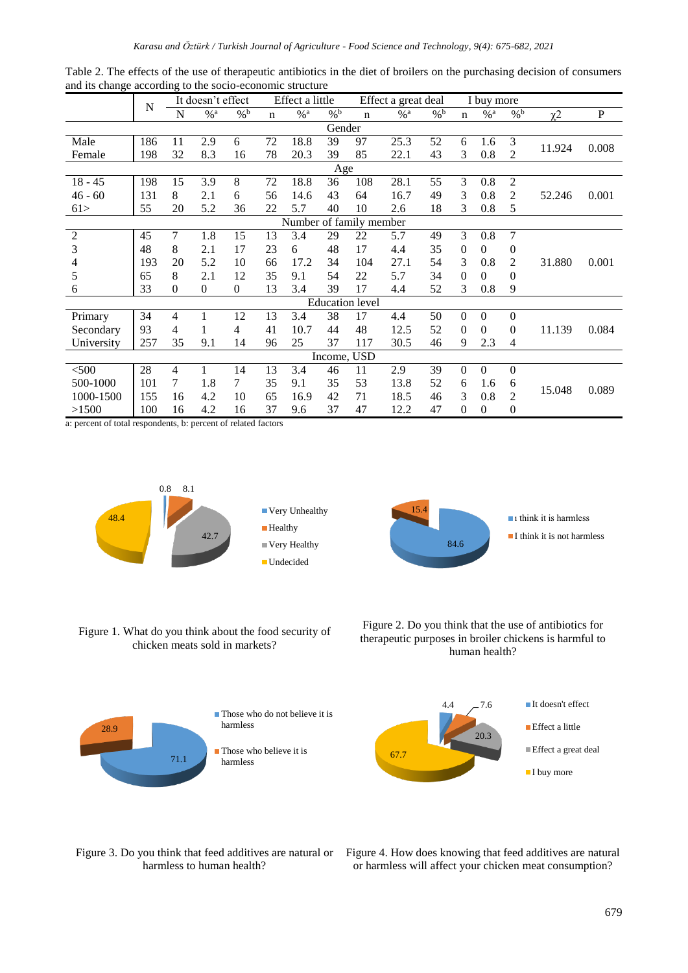|                         | N   |                | It doesn't effect |               | Effect a little |      |     | Effect a great deal    |                   |                 | I buy more   |              |                   |                     |             |
|-------------------------|-----|----------------|-------------------|---------------|-----------------|------|-----|------------------------|-------------------|-----------------|--------------|--------------|-------------------|---------------------|-------------|
|                         |     | N              | % a               | $\frac{0}{6}$ | $\mathbf n$     | % a  | % b | $\mathbf n$            | $\%$ <sup>a</sup> | $\frac{0}{6}$ b | $\mathbf n$  | % a          | $\%$ <sup>b</sup> | $\chi$ <sup>2</sup> | $\mathbf P$ |
| Gender                  |     |                |                   |               |                 |      |     |                        |                   |                 |              |              |                   |                     |             |
| Male                    | 186 | 11             | 2.9               | 6             | 72              | 18.8 | 39  | 97                     | 25.3              | 52              | 6            | 1.6          | 3                 | 11.924              | 0.008       |
| Female                  | 198 | 32             | 8.3               | 16            | 78              | 20.3 | 39  | 85                     | 22.1              | 43              | 3            | 0.8          | 2                 |                     |             |
| Age                     |     |                |                   |               |                 |      |     |                        |                   |                 |              |              |                   |                     |             |
| $18 - 45$               | 198 | 15             | 3.9               | 8             | 72              | 18.8 | 36  | 108                    | 28.1              | 55              | 3            | 0.8          | $\overline{2}$    |                     |             |
| $46 - 60$               | 131 | 8              | 2.1               | 6             | 56              | 14.6 | 43  | 64                     | 16.7              | 49              | 3            | 0.8          | 2                 | 52.246              | 0.001       |
| 61>                     | 55  | 20             | 5.2               | 36            | 22              | 5.7  | 40  | 10                     | 2.6               | 18              | 3            | 0.8          | 5                 |                     |             |
| Number of family member |     |                |                   |               |                 |      |     |                        |                   |                 |              |              |                   |                     |             |
| $\overline{2}$          | 45  | $\overline{7}$ | 1.8               | 15            | 13              | 3.4  | 29  | 22                     | 5.7               | 49              | 3            | 0.8          | 7                 |                     |             |
| 3                       | 48  | 8              | 2.1               | 17            | 23              | 6    | 48  | 17                     | 4.4               | 35              | $\Omega$     | $\Omega$     | $\overline{0}$    |                     |             |
| 4                       | 193 | 20             | 5.2               | 10            | 66              | 17.2 | 34  | 104                    | 27.1              | 54              | 3            | 0.8          | 2                 | 31.880              | 0.001       |
| 5                       | 65  | 8              | 2.1               | 12            | 35              | 9.1  | 54  | 22                     | 5.7               | 34              | $\Omega$     | $\Omega$     | $\overline{0}$    |                     |             |
| 6                       | 33  | $\mathbf{0}$   | $\overline{0}$    | $\Omega$      | 13              | 3.4  | 39  | 17                     | 4.4               | 52              | 3            | 0.8          | 9                 |                     |             |
|                         |     |                |                   |               |                 |      |     | <b>Education</b> level |                   |                 |              |              |                   |                     |             |
| Primary                 | 34  | $\overline{4}$ |                   | 12            | 13              | 3.4  | 38  | 17                     | 4.4               | 50              | $\theta$     | $\theta$     | $\mathbf{0}$      |                     |             |
| Secondary               | 93  | $\overline{4}$ |                   | 4             | 41              | 10.7 | 44  | 48                     | 12.5              | 52              | $\mathbf{0}$ | $\mathbf{0}$ | $\overline{0}$    | 11.139              | 0.084       |
| University              | 257 | 35             | 9.1               | 14            | 96              | 25   | 37  | 117                    | 30.5              | 46              | 9            | 2.3          | 4                 |                     |             |
| Income, USD             |     |                |                   |               |                 |      |     |                        |                   |                 |              |              |                   |                     |             |
| $<$ 500                 | 28  | 4              | 1                 | 14            | 13              | 3.4  | 46  | 11                     | 2.9               | 39              | $\Omega$     | $\mathbf{0}$ | $\mathbf{0}$      |                     |             |
| 500-1000                | 101 | 7              | 1.8               | 7             | 35              | 9.1  | 35  | 53                     | 13.8              | 52              | 6            | 1.6          | 6                 |                     | 0.089       |
| 1000-1500               | 155 | 16             | 4.2               | 10            | 65              | 16.9 | 42  | 71                     | 18.5              | 46              | 3            | 0.8          | $\overline{2}$    | 15.048              |             |
| >1500                   | 100 | 16             | 4.2               | 16            | 37              | 9.6  | 37  | 47                     | 12.2              | 47              | $\theta$     | $\mathbf{0}$ | $\boldsymbol{0}$  |                     |             |

Table 2. The effects of the use of therapeutic antibiotics in the diet of broilers on the purchasing decision of consumers and its change according to the socio-economic structure

a: percent of total respondents, b: percent of related factors



84.6 15.4  $\blacksquare$  1 think it is harmless  $\blacksquare$  I think it is not harmless

Figure 1. What do you think about the food security of chicken meats sold in markets?





4.4 7.6 20.3 67.7 ■It doesn't effect ■ Effect a little Effect a great deal I buy more

harmless to human health?

Figure 3. Do you think that feed additives are natural or Figure 4. How does knowing that feed additives are natural or harmless will affect your chicken meat consumption?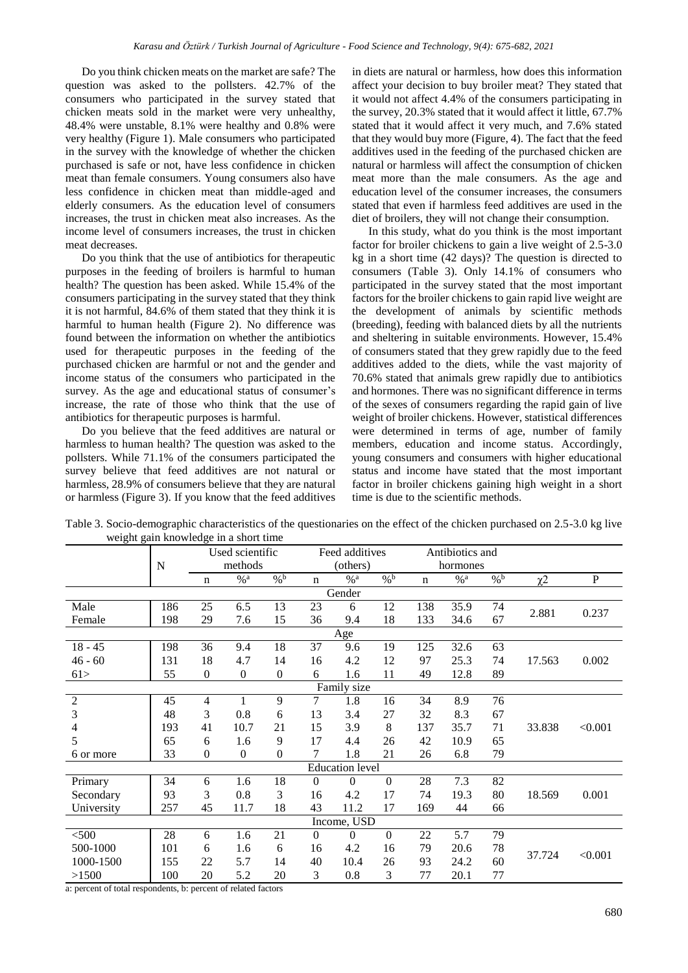Do you think chicken meats on the market are safe? The question was asked to the pollsters. 42.7% of the consumers who participated in the survey stated that chicken meats sold in the market were very unhealthy, 48.4% were unstable, 8.1% were healthy and 0.8% were very healthy (Figure 1). Male consumers who participated in the survey with the knowledge of whether the chicken purchased is safe or not, have less confidence in chicken meat than female consumers. Young consumers also have less confidence in chicken meat than middle-aged and elderly consumers. As the education level of consumers increases, the trust in chicken meat also increases. As the income level of consumers increases, the trust in chicken meat decreases.

Do you think that the use of antibiotics for therapeutic purposes in the feeding of broilers is harmful to human health? The question has been asked. While 15.4% of the consumers participating in the survey stated that they think it is not harmful, 84.6% of them stated that they think it is harmful to human health (Figure 2). No difference was found between the information on whether the antibiotics used for therapeutic purposes in the feeding of the purchased chicken are harmful or not and the gender and income status of the consumers who participated in the survey. As the age and educational status of consumer's increase, the rate of those who think that the use of antibiotics for therapeutic purposes is harmful.

Do you believe that the feed additives are natural or harmless to human health? The question was asked to the pollsters. While 71.1% of the consumers participated the survey believe that feed additives are not natural or harmless, 28.9% of consumers believe that they are natural or harmless (Figure 3). If you know that the feed additives in diets are natural or harmless, how does this information affect your decision to buy broiler meat? They stated that it would not affect 4.4% of the consumers participating in the survey, 20.3% stated that it would affect it little, 67.7% stated that it would affect it very much, and 7.6% stated that they would buy more (Figure, 4). The fact that the feed additives used in the feeding of the purchased chicken are natural or harmless will affect the consumption of chicken meat more than the male consumers. As the age and education level of the consumer increases, the consumers stated that even if harmless feed additives are used in the diet of broilers, they will not change their consumption.

In this study, what do you think is the most important factor for broiler chickens to gain a live weight of 2.5-3.0 kg in a short time (42 days)? The question is directed to consumers (Table 3). Only 14.1% of consumers who participated in the survey stated that the most important factors for the broiler chickens to gain rapid live weight are the development of animals by scientific methods (breeding), feeding with balanced diets by all the nutrients and sheltering in suitable environments. However, 15.4% of consumers stated that they grew rapidly due to the feed additives added to the diets, while the vast majority of 70.6% stated that animals grew rapidly due to antibiotics and hormones. There was no significant difference in terms of the sexes of consumers regarding the rapid gain of live weight of broiler chickens. However, statistical differences were determined in terms of age, number of family members, education and income status. Accordingly, young consumers and consumers with higher educational status and income have stated that the most important factor in broiler chickens gaining high weight in a short time is due to the scientific methods.

|                                       | Table 3. Socio-demographic characteristics of the questionaries on the effect of the chicken purchased on 2.5-3.0 kg live |  |
|---------------------------------------|---------------------------------------------------------------------------------------------------------------------------|--|
| weight gain knowledge in a short time |                                                                                                                           |  |

|                |     | Used scientific  |                 |                  |                | Feed additives         |               |             | Antibiotics and |                   |          |           |
|----------------|-----|------------------|-----------------|------------------|----------------|------------------------|---------------|-------------|-----------------|-------------------|----------|-----------|
|                | N   | methods          |                 |                  |                | (others)               |               |             | hormones        |                   |          |           |
|                |     | $\mathbf n$      | $\frac{6}{6}$ a | $\frac{0}{6}$    | $\mathbf n$    | $\frac{0}{6}$ a        | $\frac{0}{6}$ | $\mathbf n$ | $\frac{0}{6}$ a | $\%$ <sup>b</sup> | $\chi^2$ | ${\bf P}$ |
| Gender         |     |                  |                 |                  |                |                        |               |             |                 |                   |          |           |
| Male           | 186 | 25               | 6.5             | 13               | 23             | 6                      | 12            | 138         | 35.9            | 74                | 2.881    | 0.237     |
| Female         | 198 | 29               | 7.6             | 15               | 36             | 9.4                    | 18            | 133         | 34.6            | 67                |          |           |
| Age            |     |                  |                 |                  |                |                        |               |             |                 |                   |          |           |
| $18 - 45$      | 198 | 36               | 9.4             | 18               | 37             | 9.6                    | 19            | 125         | 32.6            | 63                |          |           |
| $46 - 60$      | 131 | 18               | 4.7             | 14               | 16             | 4.2                    | 12            | 97          | 25.3            | 74                | 17.563   | 0.002     |
| 61>            | 55  | $\overline{0}$   | $\Omega$        | $\mathbf{0}$     | 6              | 1.6                    | 11            | 49          | 12.8            | 89                |          |           |
| Family size    |     |                  |                 |                  |                |                        |               |             |                 |                   |          |           |
| $\overline{c}$ | 45  | $\overline{4}$   | 1               | 9                | 7              | 1.8                    | 16            | 34          | 8.9             | 76                |          |           |
| 3              | 48  | 3                | 0.8             | 6                | 13             | 3.4                    | 27            | 32          | 8.3             | 67                |          |           |
| 4              | 193 | 41               | 10.7            | 21               | 15             | 3.9                    | 8             | 137         | 35.7            | 71                | 33.838   | < 0.001   |
| 5              | 65  | 6                | 1.6             | 9                | 17             | 4.4                    | 26            | 42          | 10.9            | 65                |          |           |
| 6 or more      | 33  | $\boldsymbol{0}$ | $\mathbf{0}$    | $\boldsymbol{0}$ | 7              | 1.8                    | 21            | 26          | 6.8             | 79                |          |           |
|                |     |                  |                 |                  |                | <b>Education</b> level |               |             |                 |                   |          |           |
| Primary        | 34  | 6                | 1.6             | 18               | $\Omega$       | $\Omega$               | $\theta$      | 28          | 7.3             | 82                |          |           |
| Secondary      | 93  | 3                | 0.8             | 3                | 16             | 4.2                    | 17            | 74          | 19.3            | 80                | 18.569   | 0.001     |
| University     | 257 | 45               | 11.7            | 18               | 43             | 11.2                   | 17            | 169         | 44              | 66                |          |           |
| Income, USD    |     |                  |                 |                  |                |                        |               |             |                 |                   |          |           |
| < 500          | 28  | 6                | 1.6             | 21               | $\overline{0}$ | $\mathbf{0}$           | $\theta$      | 22          | 5.7             | 79                |          |           |
| 500-1000       | 101 | 6                | 1.6             | 6                | 16             | 4.2                    | 16            | 79          | 20.6            | 78                |          |           |
| 1000-1500      | 155 | 22               | 5.7             | 14               | 40             | 10.4                   | 26            | 93          | 24.2            | 60                | 37.724   | < 0.001   |
| >1500          | 100 | 20               | 5.2             | 20               | 3              | 0.8                    | 3             | 77          | 20.1            | 77                |          |           |

a: percent of total respondents, b: percent of related factors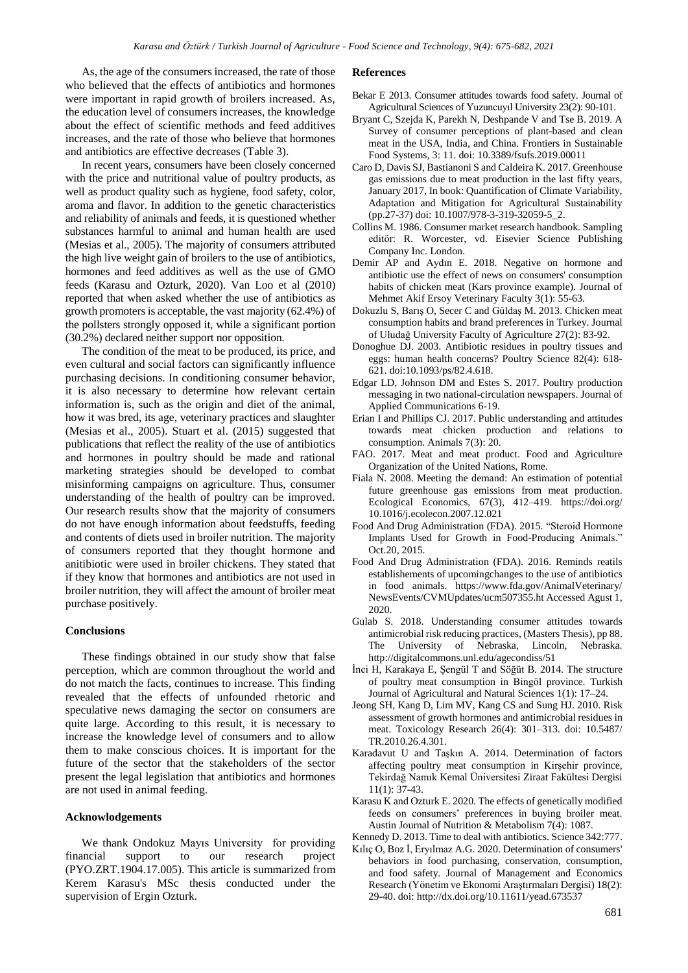As, the age of the consumers increased, the rate of those who believed that the effects of antibiotics and hormones were important in rapid growth of broilers increased. As, the education level of consumers increases, the knowledge about the effect of scientific methods and feed additives increases, and the rate of those who believe that hormones and antibiotics are effective decreases (Table 3).

In recent years, consumers have been closely concerned with the price and nutritional value of poultry products, as well as product quality such as hygiene, food safety, color, aroma and flavor. In addition to the genetic characteristics and reliability of animals and feeds, it is questioned whether substances harmful to animal and human health are used (Mesias et al., 2005). The majority of consumers attributed the high live weight gain of broilers to the use of antibiotics, hormones and feed additives as well as the use of GMO feeds (Karasu and Ozturk, 2020). Van Loo et al (2010) reported that when asked whether the use of antibiotics as growth promoters is acceptable, the vast majority (62.4%) of the pollsters strongly opposed it, while a significant portion (30.2%) declared neither support nor opposition.

The condition of the meat to be produced, its price, and even cultural and social factors can significantly influence purchasing decisions. In conditioning consumer behavior, it is also necessary to determine how relevant certain information is, such as the origin and diet of the animal, how it was bred, its age, veterinary practices and slaughter (Mesias et al., 2005). Stuart et al. (2015) suggested that publications that reflect the reality of the use of antibiotics and hormones in poultry should be made and rational marketing strategies should be developed to combat misinforming campaigns on agriculture. Thus, consumer understanding of the health of poultry can be improved. Our research results show that the majority of consumers do not have enough information about feedstuffs, feeding and contents of diets used in broiler nutrition. The majority of consumers reported that they thought hormone and anitibiotic were used in broiler chickens. They stated that if they know that hormones and antibiotics are not used in broiler nutrition, they will affect the amount of broiler meat purchase positively.

### **Conclusions**

These findings obtained in our study show that false perception, which are common throughout the world and do not match the facts, continues to increase. This finding revealed that the effects of unfounded rhetoric and speculative news damaging the sector on consumers are quite large. According to this result, it is necessary to increase the knowledge level of consumers and to allow them to make conscious choices. It is important for the future of the sector that the stakeholders of the sector present the legal legislation that antibiotics and hormones are not used in animal feeding.

### **Acknowlodgements**

We thank Ondokuz Mayıs University for providing financial support to our research project (PYO.ZRT.1904.17.005). This article is summarized from Kerem Karasu's MSc thesis conducted under the supervision of Ergin Ozturk.

#### **References**

- Bekar E 2013. Consumer attitudes towards food safety. Journal of Agricultural Sciences of Yuzuncuyıl University 23(2): 90-101.
- Bryant C, Szejda K, Parekh N, Deshpande V and Tse B. 2019. A Survey of consumer perceptions of plant-based and clean meat in the USA, India, and China. Frontiers in Sustainable Food Systems, 3: 11. doi: 10.3389/fsufs.2019.00011
- Caro D, Davis SJ, Bastianoni S and Caldeira K. 2017. Greenhouse gas emissions due to meat production in the last fifty years, January 2017, In book: Quantification of Climate Variability, Adaptation and Mitigation for Agricultural Sustainability (pp.27-37) doi: 10.1007/978-3-319-32059-5\_2.
- Collins M. 1986. Consumer market research handbook. Sampling editör: R. Worcester, vd. Eisevier Science Publishing Company Inc. London.
- Demir AP and Aydın E. 2018. Negative on hormone and antibiotic use the effect of news on consumers' consumption habits of chicken meat (Kars province example). Journal of Mehmet Akif Ersoy Veterinary Faculty 3(1): 55-63.
- Dokuzlu S, Barış O, Secer C and Güldaş M. 2013. Chicken meat consumption habits and brand preferences in Turkey. Journal of Uludağ University Faculty of Agriculture 27(2): 83-92.
- Donoghue DJ. 2003. Antibiotic residues in poultry tissues and eggs: human health concerns? Poultry Science 82(4): 618- 621. doi:10.1093/ps/82.4.618.
- Edgar LD, Johnson DM and Estes S. 2017. Poultry production messaging in two national-circulation newspapers. Journal of Applied Communications 6-19.
- Erian I and Phillips CJ. 2017. Public understanding and attitudes towards meat chicken production and relations to consumption. Animals 7(3): 20.
- FAO. 2017. Meat and meat product. Food and Agriculture Organization of the United Nations, Rome.
- Fiala N. 2008. Meeting the demand: An estimation of potential future greenhouse gas emissions from meat production. Ecological Economics, 67(3), 412–419. https://doi.org/ 10.1016/j.ecolecon.2007.12.021
- Food And Drug Administration (FDA). 2015. "Steroid Hormone Implants Used for Growth in Food-Producing Animals." Oct.20, 2015.
- Food And Drug Administration (FDA). 2016. Reminds reatils establishements of upcomingchanges to the use of antibiotics in food animals. https://www.fda.gov/AnimalVeterinary/ NewsEvents/CVMUpdates/ucm507355.ht Accessed Agust 1, 2020.
- Gulab S. 2018. Understanding consumer attitudes towards antimicrobial risk reducing practices, (Masters Thesis), pp 88. The University of Nebraska, Lincoln, Nebraska. http://digitalcommons.unl.edu/agecondiss/51
- İnci H, Karakaya E, Şengül T and Söğüt B. 2014. The structure of poultry meat consumption in Bingöl province. Turkish Journal of Agricultural and Natural Sciences 1(1): 17–24.
- Jeong SH, Kang D, Lim MV, Kang CS and Sung HJ. 2010. Risk assessment of growth hormones and antimicrobial residues in meat. Toxicology Research 26(4): 301–313. doi: 10.5487/ TR.2010.26.4.301.
- Karadavut U and Taşkın A. 2014. Determination of factors affecting poultry meat consumption in Kirşehir province, Tekirdağ Namık Kemal Üniversitesi Ziraat Fakültesi Dergisi 11(1): 37-43.
- Karasu K and Ozturk E. 2020. The effects of genetically modified feeds on consumers' preferences in buying broiler meat. Austin Journal of Nutrition & Metabolism 7(4): 1087.
- Kennedy D. 2013. Time to deal with antibiotics. Science 342:777.
- Kılıç O, Boz İ, Eryılmaz A.G. 2020. Determination of consumers' behaviors in food purchasing, conservation, consumption, and food safety. Journal of Management and Economics Research (Yönetim ve Ekonomi Araştırmaları Dergisi) 18(2): 29-40. doi: http://dx.doi.org/10.11611/yead.673537